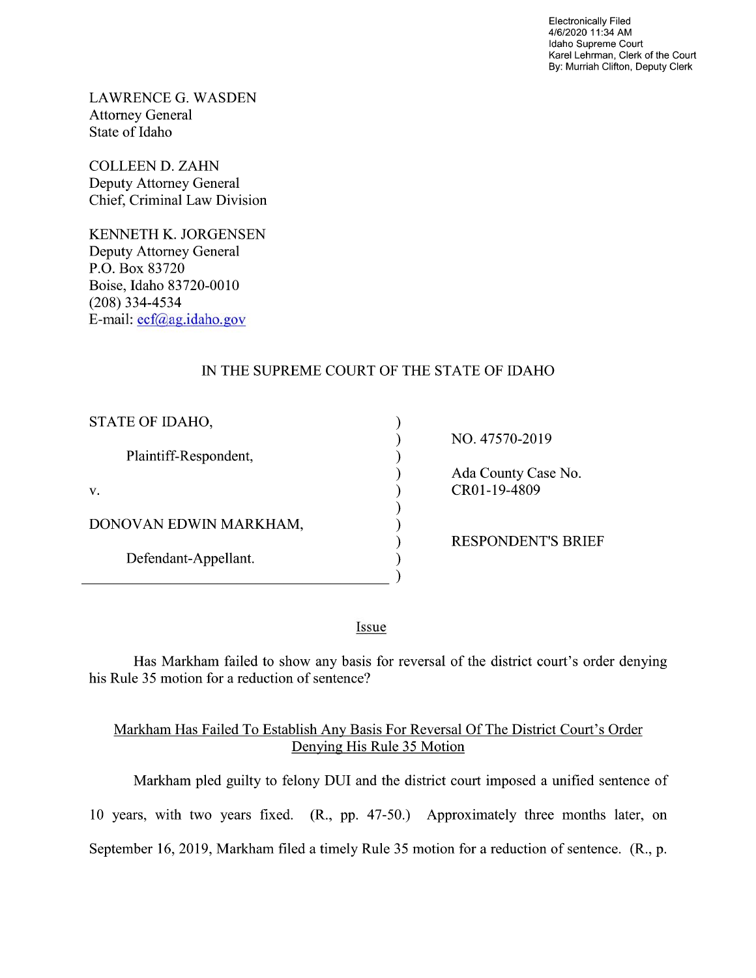Electronically Filed 4/6/2020 11:34 AM Idaho Supreme Court Karel Lehrman, Clerk of the Court By: Murriah Clifton, Deputy Clerk

LAWRENCE G. WASDEN Attorney General State of Idaho

COLLEEN D. ZAHN Deputy Attorney General Chief, Criminal Law Division

KENNETH K. JORGENSEN Deputy Attorney General P.O. Box 83720 Boise, Idaho 83720-0010 (208) 334—4534 E-mail: ecf@ag.idaho.g0v

## IN THE SUPREME COURT OF THE STATE OF IDAHO

vvvvvvvvvv

⟩

 $\lambda$  $\mathcal{E}$ 

| STATE OF IDAHO,        |
|------------------------|
| Plaintiff-Respondent,  |
| V.                     |
| DONOVAN EDWIN MARKHAM, |
| Defendant-Appellant.   |
|                        |

NO. 47570-2019

Ada County Case N0. CR01-19-4809

RESPONDENT'S BRIEF

Issue

Has Markham failed to show any basis for reversal of the district court's order denying his Rule <sup>35</sup> motion for a reduction of sentence?

## Markham Has Failed T0 Establish AnV Basis For Reversal Of The District Court's Order Denying His Rule 35 Motion

Markham pled guilty to felony DUI and the district court imposed a unified sentence of 10 years, with two years fixed. (R., pp. 47-50.) Approximately three months later, on September 16, 2019, Markham filed a timely Rule 35 motion for a reduction of sentence. (R., p.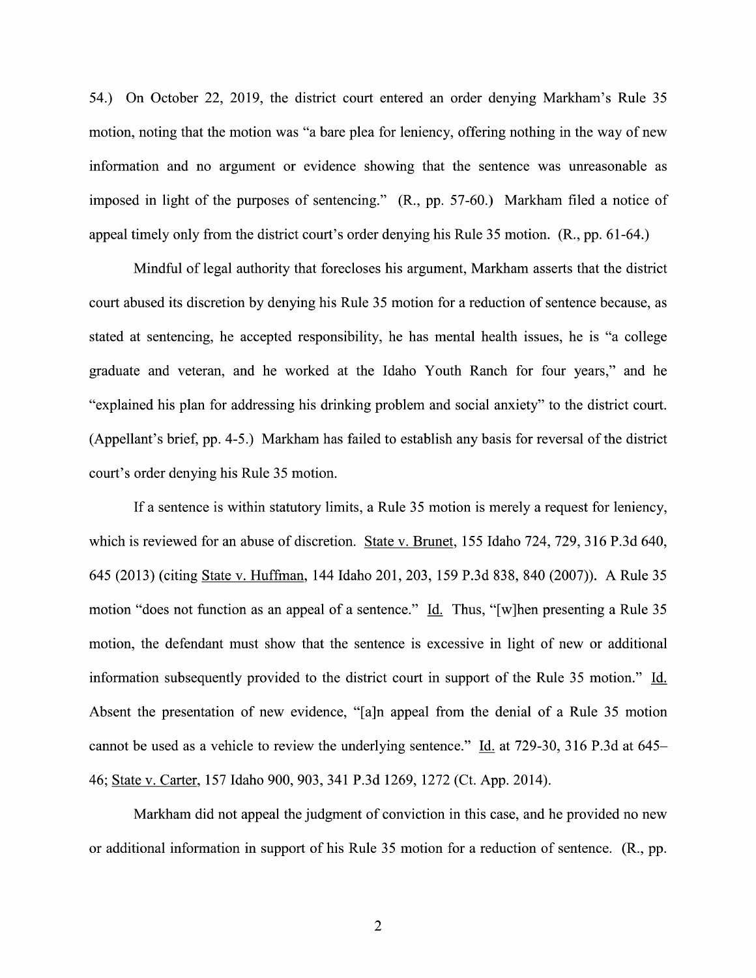54.) On October 22, 2019, the district court entered an order denying Markham's Rule 35 motion, noting that the motion was "a bare plea for leniency, offering nothing in the way of new information and no argument or evidence showing that the sentence was unreasonable as imposed in light of the purposes of sentencing." (R., pp. 57-60.) Markham filed a notice of appeal timely only from the district court's order denying his Rule 35 motion. (R., pp. 61-64.)

Mindful of legal authority that forecloses his argument, Markham asserts that the district court abused its discretion by denying his Rule 35 motion for a reduction of sentence because, as stated at sentencing, he accepted responsibility, he has mental health issues, he is "a college graduate and veteran, and he worked at the Idaho Youth Ranch for four years," and he "explained his plan for addressing his drinking problem and social anxiety" to the district court. (Appellant's brief, pp. 4-5.) Markham has failed to establish any basis for reversal 0f the district court's order denying his Rule 35 motion.

If a sentence is within statutory limits, a Rule 35 motion is merely a request for leniency, which is reviewed for an abuse of discretion. State v. Brunet, 155 Idaho 724, 729, 316 P.3d 640, 645 (2013) (citing State v. Huffman, 144 Idaho 201, 203, 159 P.3d 838, 840 (2007)). A Rule 35 motion "does not function as an appeal of a sentence." Id. Thus, "[w]hen presenting a Rule 35 motion, the defendant must show that the sentence is excessive in light of new or additional information subsequently provided to the district court in support of the Rule 35 motion." Id. Absent the presentation of new evidence, "[a]n appeal from the denial of a Rule 35 motion cannot be used as a vehicle to review the underlying sentence." Id. at 729-30, 316 P.3d at 645– 46; State V. Carter, <sup>157</sup> Idaho 900, 903, <sup>341</sup> P.3d 1269, <sup>1272</sup> (Ct. App. 2014).

Markham did not appeal the judgment of conviction in this case, and he provided no new or additional information in support of his Rule 35 motion for a reduction of sentence. (R., pp.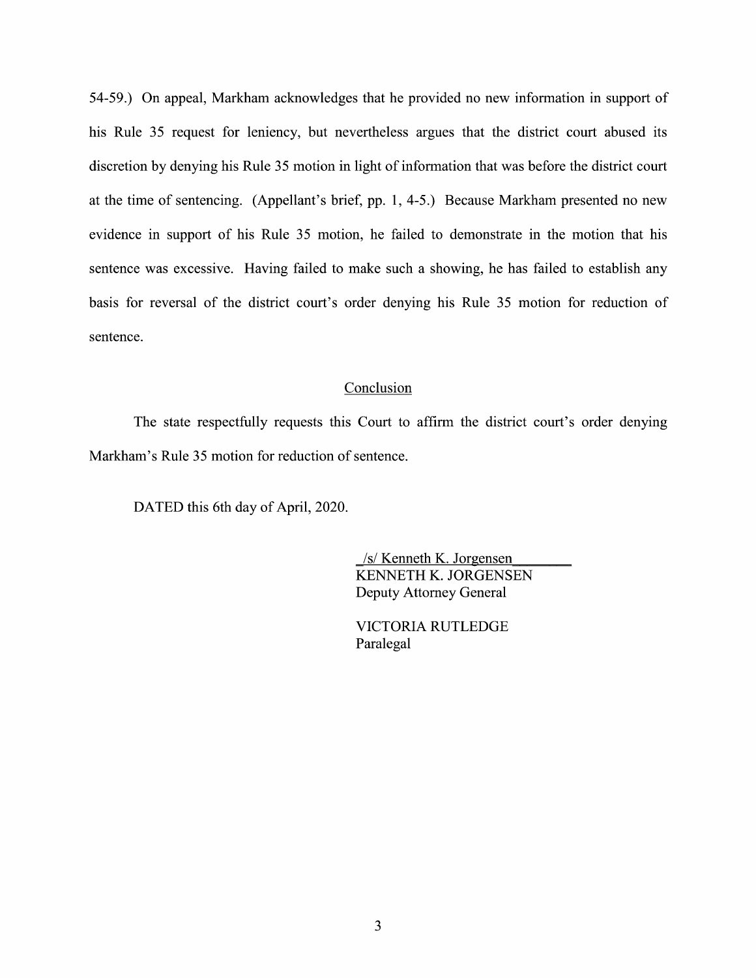54-59.) On appeal, Markham acknowledges that he provided no new information in support of his Rule 35 request for leniency, but nevertheless argues that the district court abused its discretion by denying his Rule 35 motion in light of information that was before the district court at the time 0f sentencing. (Appellant's brief, pp. 1, 4-5.) Because Markham presented no new evidence in support of his Rule 35 motion, he failed to demonstrate in the motion that his sentence was excessive. Having failed to make such a showing, he has failed to establish any basis for reversal 0f the district court's order denying his Rule 35 motion for reduction 0f sentence.

## Conclusion

The state respectfully requests this Court to affirm the district court's order denying Markham's Rule 35 motion for reduction of sentence.

DATED this 6th day of April, 2020.

\_/s/ Kenneth K. Jorgensen KENNETH K. JORGENSEN Deputy Attorney General

VICTORIA RUTLEDGE Paralegal